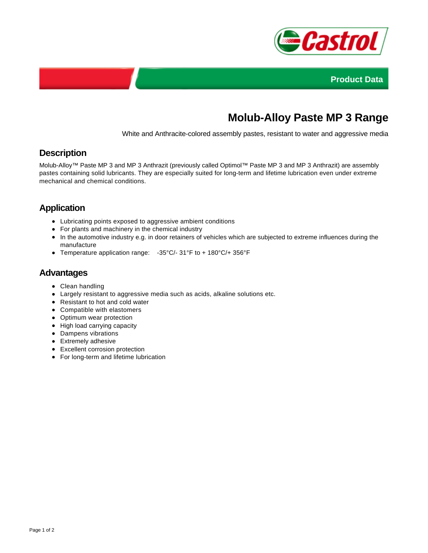



# **Molub-Alloy Paste MP 3 Range**

White and Anthracite-colored assembly pastes, resistant to water and aggressive media

## **Description**

Molub-Alloy™ Paste MP 3 and MP 3 Anthrazit (previously called Optimol™ Paste MP 3 and MP 3 Anthrazit) are assembly pastes containing solid lubricants. They are especially suited for long-term and lifetime lubrication even under extreme mechanical and chemical conditions.

# **Application**

- Lubricating points exposed to aggressive ambient conditions
- For plants and machinery in the chemical industry
- In the automotive industry e.g. in door retainers of vehicles which are subjected to extreme influences during the manufacture
- Temperature application range: -35°C/- 31°F to + 180°C/+ 356°F

#### **Advantages**

- Clean handling
- Largely resistant to aggressive media such as acids, alkaline solutions etc.
- Resistant to hot and cold water
- Compatible with elastomers
- Optimum wear protection
- High load carrying capacity
- Dampens vibrations
- Extremely adhesive
- Excellent corrosion protection
- For long-term and lifetime lubrication